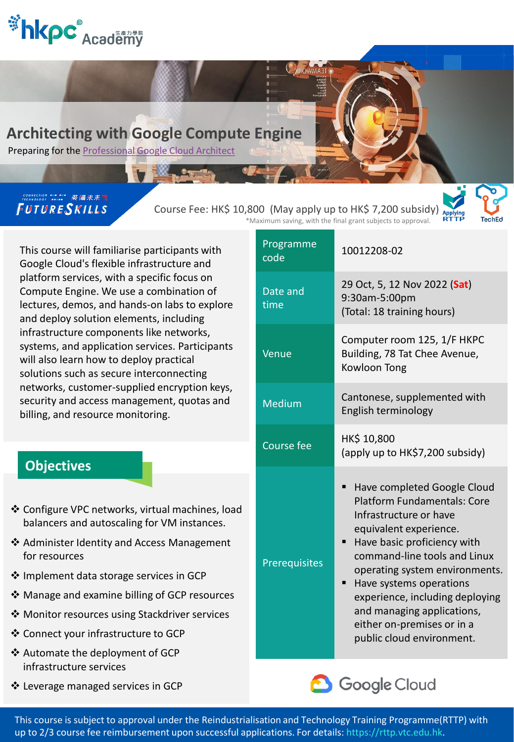

# **Architecting with Google Compute Engine**

Preparing for the [Professional Google Cloud Architect](https://apc01.safelinks.protection.outlook.com/?url=https://cloud.google.com/certification/cloud-architect/&data=04|01|cherrylam@hkpc.org|b04e15bfa51c46a6ffc808d96761e48b|07373b9f47dd4621ad2ce5bbfc8863f2|0|0|637654492460460679|Unknown|TWFpbGZsb3d8eyJWIjoiMC4wLjAwMDAiLCJQIjoiV2luMzIiLCJBTiI6Ik1haWwiLCJXVCI6Mn0%3D|1000&sdata=QcU1JBEsPeDbxWV17PR4TO8V%2Be0IZQIHO5B52q9i0W4%3D&reserved=0)

# FUTURESKILLS

Course Fee: HK\$ 10,800 (May apply up to HK\$ 7,200 subsidy) \*Maximum saving, with the final grant subjects to approval.

**AROMAAT** 



This course will familiarise participants with Google Cloud's flexible infrastructure and platform services, with a specific focus on Compute Engine. We use a combination of lectures, demos, and hands-on labs to explore and deploy solution elements, including infrastructure components like networks, systems, and application services. Participants will also learn how to deploy practical solutions such as secure interconnecting networks, customer-supplied encryption keys, security and access management, quotas and billing, and resource monitoring.

# **Objectives**

- ❖ Configure VPC networks, virtual machines, load balancers and autoscaling for VM instances.
- ❖ Administer Identity and Access Management for resources
- ❖ Implement data storage services in GCP
- ❖ Manage and examine billing of GCP resources
- ❖ Monitor resources using Stackdriver services
- ❖ Connect your infrastructure to GCP
- ❖ Automate the deployment of GCP infrastructure services
- ❖ Leverage managed services in GCP

| Programme<br>code | 10012208-02                                                                                                                                                                                                                                                                                                                                                                             |
|-------------------|-----------------------------------------------------------------------------------------------------------------------------------------------------------------------------------------------------------------------------------------------------------------------------------------------------------------------------------------------------------------------------------------|
| Date and<br>time  | 29 Oct, 5, 12 Nov 2022 (Sat)<br>9:30am-5:00pm<br>(Total: 18 training hours)                                                                                                                                                                                                                                                                                                             |
| Venue             | Computer room 125, 1/F HKPC<br>Building, 78 Tat Chee Avenue,<br>Kowloon Tong                                                                                                                                                                                                                                                                                                            |
| <b>Medium</b>     | Cantonese, supplemented with<br>English terminology                                                                                                                                                                                                                                                                                                                                     |
| <b>Course fee</b> | HK\$ 10,800<br>(apply up to HK\$7,200 subsidy)                                                                                                                                                                                                                                                                                                                                          |
| Prerequisites     | Have completed Google Cloud<br>п<br><b>Platform Fundamentals: Core</b><br>Infrastructure or have<br>equivalent experience.<br>Have basic proficiency with<br>command-line tools and Linux<br>operating system environments.<br>Have systems operations<br>■<br>experience, including deploying<br>and managing applications,<br>either on-premises or in a<br>public cloud environment. |



This course is subject to approval under the Reindustrialisation and Technology Training Programme(RTTP) with up to 2/3 course fee reimbursement upon successful applications. For details: https://rttp.vtc.edu.hk.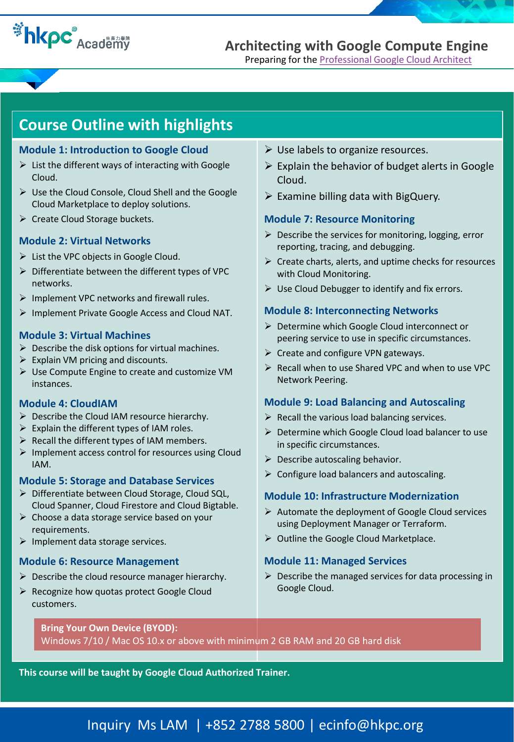# **Example 2 Academy**

**Architecting with Google Compute Engine**

Preparing for the **Professional Google Cloud Architect** 

# **Course Outline with highlights**

### **Module 1: Introduction to Google Cloud**

- $\triangleright$  List the different ways of interacting with Google Cloud.
- $\triangleright$  Use the Cloud Console, Cloud Shell and the Google Cloud Marketplace to deploy solutions.
- $\triangleright$  Create Cloud Storage buckets.

### **Module 2: Virtual Networks**

- $\triangleright$  List the VPC objects in Google Cloud.
- $\triangleright$  Differentiate between the different types of VPC networks.
- $\triangleright$  Implement VPC networks and firewall rules.
- $\triangleright$  Implement Private Google Access and Cloud NAT.

### **Module 3: Virtual Machines**

- $\triangleright$  Describe the disk options for virtual machines.
- $\triangleright$  Explain VM pricing and discounts.
- ➢ Use Compute Engine to create and customize VM instances.

### **Module 4: CloudIAM**

- ➢ Describe the Cloud IAM resource hierarchy.
- $\triangleright$  Explain the different types of IAM roles.
- $\triangleright$  Recall the different types of IAM members.
- ➢ Implement access control for resources using Cloud IAM.

### **Module 5: Storage and Database Services**

- ➢ Differentiate between Cloud Storage, Cloud SQL, Cloud Spanner, Cloud Firestore and Cloud Bigtable.
- $\triangleright$  Choose a data storage service based on your requirements.
- $\triangleright$  Implement data storage services.

### **Module 6: Resource Management**

- $\triangleright$  Describe the cloud resource manager hierarchy.
- ➢ Recognize how quotas protect Google Cloud customers.
- $\triangleright$  Use labels to organize resources.
- $\triangleright$  Explain the behavior of budget alerts in Google Cloud.
- $\triangleright$  Examine billing data with BigQuery.

# **Module 7: Resource Monitoring**

- $\triangleright$  Describe the services for monitoring, logging, error reporting, tracing, and debugging.
- $\triangleright$  Create charts, alerts, and uptime checks for resources with Cloud Monitoring.
- $\triangleright$  Use Cloud Debugger to identify and fix errors.

# **Module 8: Interconnecting Networks**

- ➢ Determine which Google Cloud interconnect or peering service to use in specific circumstances.
- $\triangleright$  Create and configure VPN gateways.
- ➢ Recall when to use Shared VPC and when to use VPC Network Peering.

## **Module 9: Load Balancing and Autoscaling**

- $\triangleright$  Recall the various load balancing services.
- $\triangleright$  Determine which Google Cloud load balancer to use in specific circumstances.
- $\triangleright$  Describe autoscaling behavior.
- ➢ Configure load balancers and autoscaling.

### **Module 10: Infrastructure Modernization**

- $\triangleright$  Automate the deployment of Google Cloud services using Deployment Manager or Terraform.
- ➢ Outline the Google Cloud Marketplace.

### **Module 11: Managed Services**

 $\triangleright$  Describe the managed services for data processing in Google Cloud.

### **Bring Your Own Device (BYOD):**

Windows 7/10 / Mac OS 10.x or above with minimum 2 GB RAM and 20 GB hard disk

**This course will be taught by Google Cloud Authorized Trainer.**